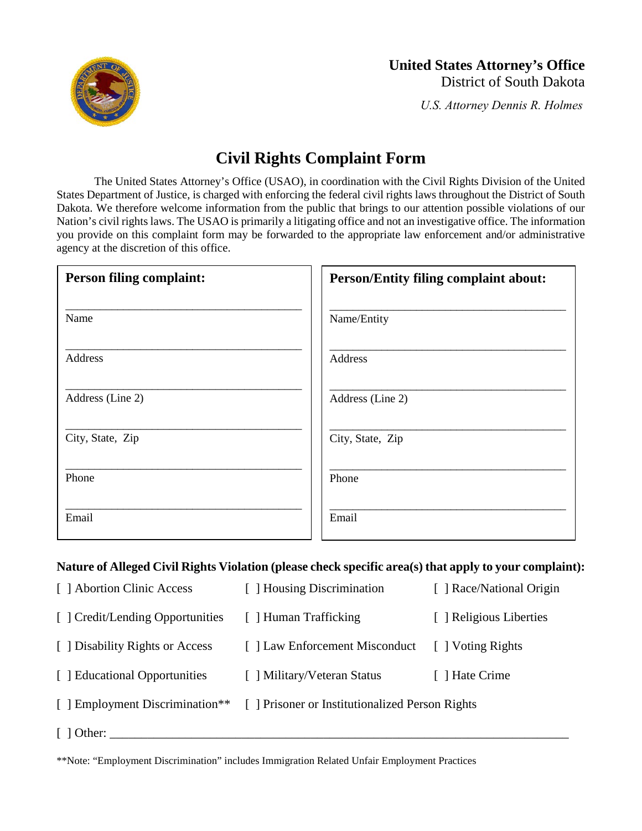

# **United States Attorney's Office** District of South Dakota

*U.S. Attorney Dennis R. Holmes*

# **Civil Rights Complaint Form**

The United States Attorney's Office (USAO), in coordination with the Civil Rights Division of the United States Department of Justice, is charged with enforcing the federal civil rights laws throughout the District of South Dakota. We therefore welcome information from the public that brings to our attention possible violations of our Nation's civil rights laws. The USAO is primarily a litigating office and not an investigative office. The information you provide on this complaint form may be forwarded to the appropriate law enforcement and/or administrative agency at the discretion of this office.

| <b>Person filing complaint:</b> | <b>Person/Entity filing complaint about:</b> |
|---------------------------------|----------------------------------------------|
| Name                            | Name/Entity                                  |
| Address                         | Address                                      |
| Address (Line 2)                | Address (Line 2)                             |
| City, State, Zip                | City, State, Zip                             |
| Phone                           | Phone                                        |
| Email                           | Email                                        |

## **Nature of Alleged Civil Rights Violation (please check specific area(s) that apply to your complaint):**

| [ ] Abortion Clinic Access       | [ ] Housing Discrimination                                                      | [ ] Race/National Origin |
|----------------------------------|---------------------------------------------------------------------------------|--------------------------|
| [ ] Credit/Lending Opportunities | [ ] Human Trafficking                                                           | [ ] Religious Liberties  |
| [ ] Disability Rights or Access  | [] Law Enforcement Misconduct                                                   | [ ] Voting Rights        |
| [ ] Educational Opportunities    | [ ] Military/Veteran Status                                                     | [ ] Hate Crime           |
|                                  | [ ] Employment Discrimination** [ ] Prisoner or Institutionalized Person Rights |                          |
| $[$ ] Other:                     |                                                                                 |                          |

\*\*Note: "Employment Discrimination" includes Immigration Related Unfair Employment Practices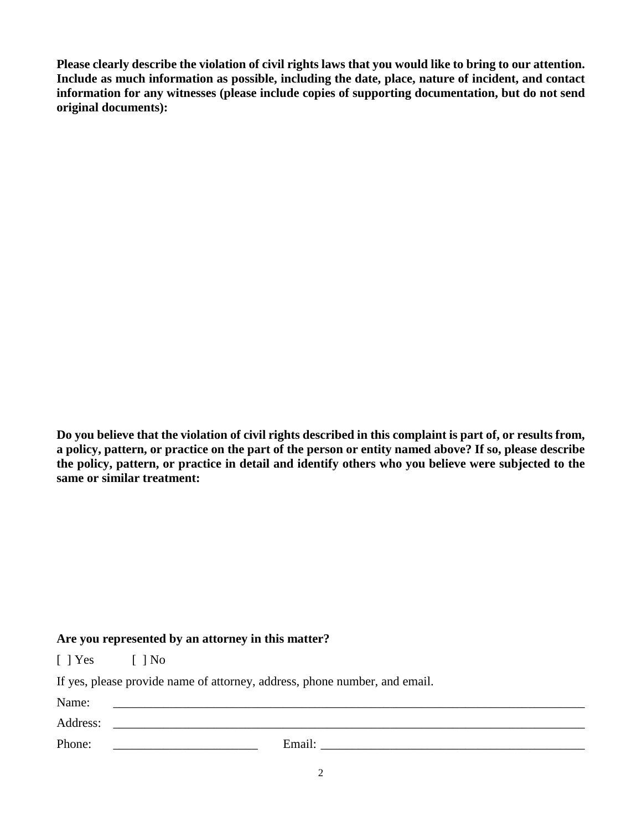**Please clearly describe the violation of civil rights laws that you would like to bring to our attention. Include as much information as possible, including the date, place, nature of incident, and contact information for any witnesses (please include copies of supporting documentation, but do not send original documents):**

**Do you believe that the violation of civil rights described in this complaint is part of, or results from, a policy, pattern, or practice on the part of the person or entity named above? If so, please describe the policy, pattern, or practice in detail and identify others who you believe were subjected to the same or similar treatment:**

#### **Are you represented by an attorney in this matter?**

[ ] Yes [ ] No

If yes, please provide name of attorney, address, phone number, and email.

| Name:    |        |
|----------|--------|
| Address: |        |
| Phone:   | Email: |